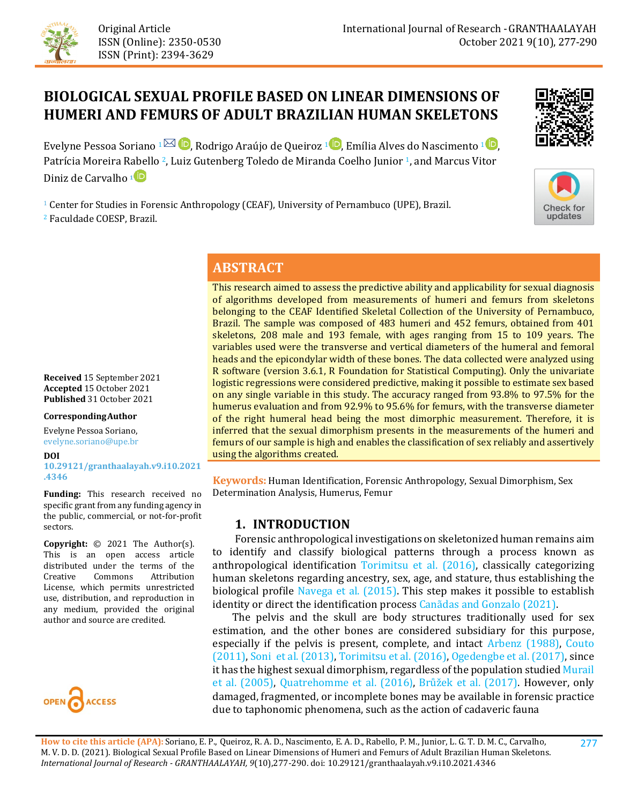

# **BIOLOGICAL SEXUAL PROFILE BASED ON LINEAR DIMENSIONS OF HUMERI AND FEMURS OF ADULT BRAZILIAN HUMAN SKELETONS**

Evelyne Pessoa Soriano  $1^{\boxtimes}$  D[,](https://orcid.org/0000-0001-8337-0194) Rodrigo Araújo de Queiroz  $1^{\textcircled{D}}$ , Emília Alves do Nascimento  $1^{\textcircled{D}}$ , Patrícia Moreira R[abe](https://orcid.org/0000-0003-1270-2352)llo <sup>2</sup>, Luiz Gutenberg Toledo de Miranda Coelho Junior <sup>1</sup>, and Marcus Vitor Diniz de Carvalho **<sup>1</sup>**

<sup>1</sup> Center for Studies in Forensic Anthropology (CEAF), University of Pernambuco (UPE), Brazil. <sup>2</sup> Faculdade COESP, Brazil.





# **ABSTRACT**

This research aimed to assess the predictive ability and applicability for sexual diagnosis of algorithms developed from measurements of humeri and femurs from skeletons belonging to the CEAF Identified Skeletal Collection of the University of Pernambuco, Brazil. The sample was composed of 483 humeri and 452 femurs, obtained from 401 skeletons, 208 male and 193 female, with ages ranging from 15 to 109 years. The variables used were the transverse and vertical diameters of the humeral and femoral heads and the epicondylar width of these bones. The data collected were analyzed using R software (version 3.6.1, R Foundation for Statistical Computing). Only the univariate logistic regressions were considered predictive, making it possible to estimate sex based on any single variable in this study. The accuracy ranged from 93.8% to 97.5% for the humerus evaluation and from 92.9% to 95.6% for femurs, with the transverse diameter of the right humeral head being the most dimorphic measurement. Therefore, it is inferred that the sexual dimorphism presents in the measurements of the humeri and femurs of our sample is high and enables the classification of sex reliably and assertively using the algorithms created.

**Keywords:** Human Identification, Forensic Anthropology, Sexual Dimorphism, Sex Determination Analysis, Humerus, Femur

### **1. INTRODUCTION**

 Forensic anthropological investigations on skeletonized human remains aim to identify and classify biological patterns through a process known as anthropological identification [Torimitsu et al. \(2016\),](#page-13-0) classically categorizing human skeletons regarding ancestry, sex, age, and stature, thus establishing the biological profile [Navega et al. \(2015\).](#page-12-0) This step makes it possible to establish identity or direct the identification process [Canãdas and Gonzalo \(2021\).](#page-10-0)

 The pelvis and the skull are body structures traditionally used for sex estimation, and the other bones are considered subsidiary for this purpose, especially if the pelvis is present, complete, and intact [Arbenz \(1988\),](#page-10-1) [Couto](#page-11-0)  [\(2011\),](#page-11-0) [Soni et al. \(2013\),](#page-13-1) [Torimitsu et al. \(2016\),](#page-13-0) [Ogedengbe et al. \(2017\),](#page-12-1) since it has the highest sexual dimorphism, regardless of the population studie[d Murail](#page-12-2)  [et al. \(2005\),](#page-12-2) [Quatrehomme et al. \(2016](#page-12-3)[\)](#page-12-3), [Brůžek et al. \(2017\)](#page-10-2). However, only damaged, fragmented, or incomplete bones may be available in forensic practice due to taphonomic phenomena, such as the action of cadaveric fauna

**Received** 15 September 2021 **Accepted** 15 October 2021 **Published** 31 October 2021

### **CorrespondingAuthor**

Evelyne Pessoa Soriano, evelyne.soriano@upe.br

#### **DOI**

**[10.29121/granthaalayah.v9.i10.2021](https://dx.doi.org/10.29121/granthaalayah.v9.i10.2021.4346) [.4346](https://dx.doi.org/10.29121/granthaalayah.v9.i10.2021.4346)**

**Funding:** This research received no specific grant from any funding agency in the public, commercial, or not-for-profit sectors.

**Copyright:** © 2021 The Author(s). This is an open access article distributed under the terms of the<br>Creative Commons Attribution Commons License, which permits unrestricted use, distribution, and reproduction in any medium, provided the original author and source are credited.

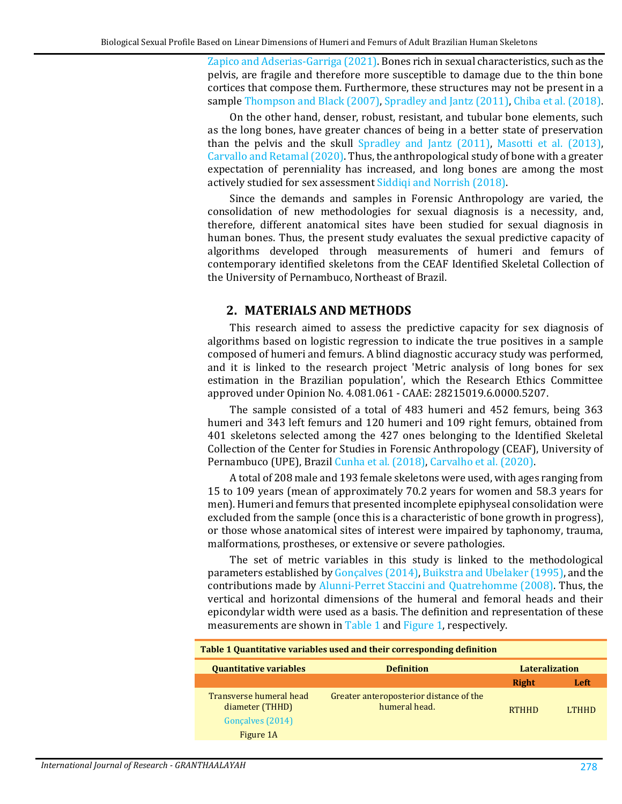[Zapico and Adserias-Garriga \(2021\).](#page-13-2) Bones rich in sexual characteristics, such as the pelvis, are fragile and therefore more susceptible to damage due to the thin bone cortices that compose them. Furthermore, these structures may not be present in a sample [Thompson and Black \(2007\),](#page-13-3) [Spradley and Jantz \(2011\),](#page-13-4) [Chiba et al. \(2018\).](#page-10-3)

On the other hand, denser, robust, resistant, and tubular bone elements, such as the long bones, have greater chances of being in a better state of preservation than the pelvis and the skull [Spradley and Jantz \(2011\),](#page-13-4) [Masotti et al. \(2013\),](#page-12-4) [Carvallo and Retamal \(2020\).](#page-10-4) Thus, the anthropological study of bone with a greater expectation of perenniality has increased, and long bones are among the most actively studied for sex assessmen[t Siddiqi and Norrish \(2018\).](#page-12-5)

Since the demands and samples in Forensic Anthropology are varied, the consolidation of new methodologies for sexual diagnosis is a necessity, and, therefore, different anatomical sites have been studied for sexual diagnosis in human bones. Thus, the present study evaluates the sexual predictive capacity of algorithms developed through measurements of humeri and femurs of contemporary identified skeletons from the CEAF Identified Skeletal Collection of the University of Pernambuco, Northeast of Brazil.

### **2. MATERIALS AND METHODS**

This research aimed to assess the predictive capacity for sex diagnosis of algorithms based on logistic regression to indicate the true positives in a sample composed of humeri and femurs. A blind diagnostic accuracy study was performed, and it is linked to the research project 'Metric analysis of long bones for sex estimation in the Brazilian population', which the Research Ethics Committee approved under Opinion No. 4.081.061 - CAAE: 28215019.6.0000.5207.

The sample consisted of a total of 483 humeri and 452 femurs, being 363 humeri and 343 left femurs and 120 humeri and 109 right femurs, obtained from 401 skeletons selected among the 427 ones belonging to the Identified Skeletal Collection of the Center for Studies in Forensic Anthropology (CEAF), University of Pernambuco (UPE), Brazi[l Cunha et al. \(2018\),](#page-11-1) [Carvalho et al. \(2020\).](#page-10-5)

A total of 208 male and 193 female skeletons were used, with ages ranging from 15 to 109 years (mean of approximately 70.2 years for women and 58.3 years for men). Humeri and femurs that presented incomplete epiphyseal consolidation were excluded from the sample (once this is a characteristic of bone growth in progress), or those whose anatomical sites of interest were impaired by taphonomy, trauma, malformations, prostheses, or extensive or severe pathologies.

The set of metric variables in this study is linked to the methodological parameters established by [Gonçalves \(2014\),](#page-11-2) [Buikstra and Ubelaker \(1995\),](#page-10-6) and the contributions made by [Alunni-Perret Staccini and Quatrehomme \(2008\).](#page-10-7) Thus, the vertical and horizontal dimensions of the humeral and femoral heads and their epicondylar width were used as a basis. The definition and representation of these measurements are shown in [Table 1](#page-1-0) and [Figure 1,](#page-2-0) respectively.

<span id="page-1-0"></span>

| Table 1 Quantitative variables used and their corresponding definition      |                                                          |              |              |  |  |  |
|-----------------------------------------------------------------------------|----------------------------------------------------------|--------------|--------------|--|--|--|
| <b>Quantitative variables</b><br><b>Lateralization</b><br><b>Definition</b> |                                                          |              |              |  |  |  |
|                                                                             |                                                          | Right        | Left         |  |  |  |
| Transverse humeral head<br>diameter (THHD)<br>Goncalves (2014)<br>Figure 1A | Greater anteroposterior distance of the<br>humeral head. | <b>RTHHD</b> | <b>LTHHD</b> |  |  |  |
|                                                                             |                                                          |              |              |  |  |  |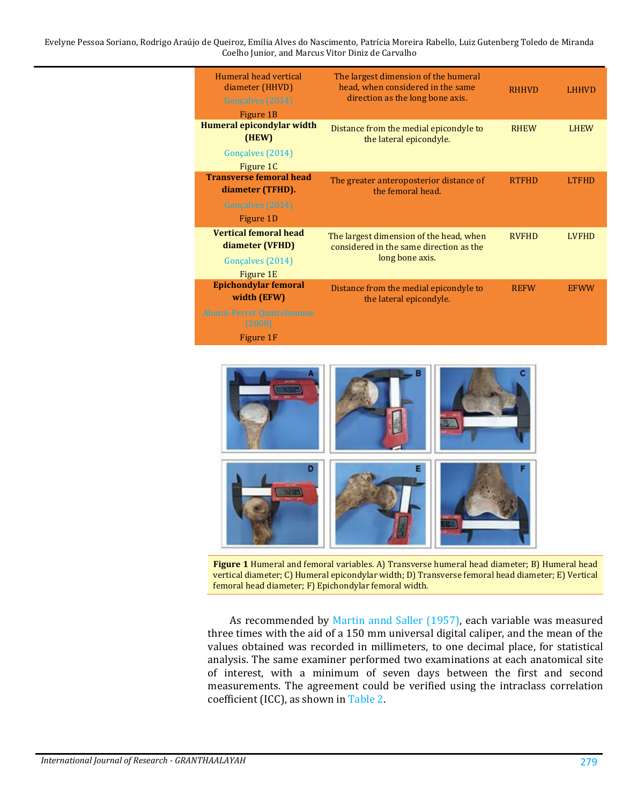Evelyne Pessoa Soriano, Rodrigo Araújo de Queiroz, Emília Alves do Nascimento, Patrícia Moreira Rabello, Luiz Gutenberg Toledo de Miranda Coelho Junior, and Marcus Vitor Diniz de Carvalho

| Humeral head vertical<br>diameter (HHVD)<br>Gonçalves (2014)<br>Figure 1B                      | The largest dimension of the humeral<br>head, when considered in the same<br>direction as the long bone axis. | <b>RHHVD</b> | LHHVD        |
|------------------------------------------------------------------------------------------------|---------------------------------------------------------------------------------------------------------------|--------------|--------------|
| Humeral epicondylar width<br>(HEW)<br>Gonçalves (2014)<br>Figure 1C                            | Distance from the medial epicondyle to<br>the lateral epicondyle.                                             | <b>RHEW</b>  | <b>LHEW</b>  |
| <b>Transverse femoral head</b><br>diameter (TFHD).<br>Gonçalves (2014)<br>Figure 1D            | The greater anteroposterior distance of<br>the femoral head.                                                  | <b>RTFHD</b> | <b>LTFHD</b> |
| <b>Vertical femoral head</b><br>diameter (VFHD)<br>Gonçalves (2014)<br>Figure 1E               | The largest dimension of the head, when<br>considered in the same direction as the<br>long bone axis.         | <b>RVFHD</b> | <b>LVFHD</b> |
| <b>Epichondylar femoral</b><br>width (EFW)<br>Alunni-Perret Quatrehomme<br>(2008)<br>Figure 1F | Distance from the medial epicondyle to<br>the lateral epicondyle.                                             | <b>REFW</b>  | <b>EFWW</b>  |



**Figure 1** Humeral and femoral variables. A) Transverse humeral head diameter; B) Humeral head vertical diameter; C) Humeral epicondylar width; D) Transverse femoral head diameter; E) Vertical femoral head diameter; F) Epichondylar femoral width.

<span id="page-2-0"></span>As recommended by [Martin annd Saller \(1957\),](#page-12-6) each variable was measured three times with the aid of a 150 mm universal digital caliper, and the mean of the values obtained was recorded in millimeters, to one decimal place, for statistical analysis. The same examiner performed two examinations at each anatomical site of interest, with a minimum of seven days between the first and second measurements. The agreement could be verified using the intraclass correlation coefficient (ICC), as shown in [Table 2.](#page-3-0)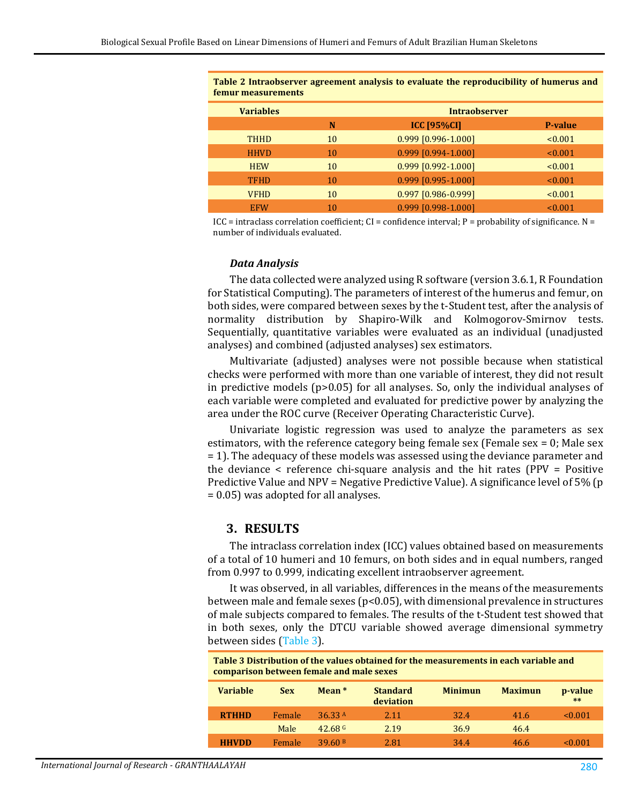<span id="page-3-0"></span>**Table 2 Intraobserver agreement analysis to evaluate the reproducibility of humerus and femur measurements**

| <b>Variables</b> | <b>Intraobserver</b> |                       |                |  |  |  |
|------------------|----------------------|-----------------------|----------------|--|--|--|
|                  | N                    | <b>ICC [95%CI]</b>    | <b>P-value</b> |  |  |  |
| <b>THHD</b>      | 10                   | 0.999 [0.996-1.000]   | < 0.001        |  |  |  |
| <b>HHVD</b>      | 10                   | 0.999 [0.994-1.000]   | < 0.001        |  |  |  |
| <b>HEW</b>       | 10                   | $0.999$ [0.992-1.000] | < 0.001        |  |  |  |
| <b>TFHD</b>      | 10                   | $0.999$ [0.995-1.000] | < 0.001        |  |  |  |
| <b>VFHD</b>      | 10                   | 0.997 [0.986-0.999]   | < 0.001        |  |  |  |
| <b>EFW</b>       | 10                   | $0.999$ [0.998-1.000] | < 0.001        |  |  |  |
|                  |                      |                       |                |  |  |  |

ICC = intraclass correlation coefficient; CI = confidence interval;  $P =$  probability of significance. N = number of individuals evaluated.

### *Data Analysis*

The data collected were analyzed using R software (version 3.6.1, R Foundation for Statistical Computing). The parameters of interest of the humerus and femur, on both sides, were compared between sexes by the t-Student test, after the analysis of normality distribution by Shapiro-Wilk and Kolmogorov-Smirnov tests. Sequentially, quantitative variables were evaluated as an individual (unadjusted analyses) and combined (adjusted analyses) sex estimators.

Multivariate (adjusted) analyses were not possible because when statistical checks were performed with more than one variable of interest, they did not result in predictive models (p>0.05) for all analyses. So, only the individual analyses of each variable were completed and evaluated for predictive power by analyzing the area under the ROC curve (Receiver Operating Characteristic Curve).

Univariate logistic regression was used to analyze the parameters as sex estimators, with the reference category being female sex (Female sex = 0; Male sex = 1). The adequacy of these models was assessed using the deviance parameter and the deviance  $\leq$  reference chi-square analysis and the hit rates (PPV = Positive Predictive Value and NPV = Negative Predictive Value). A significance level of 5% (p = 0.05) was adopted for all analyses.

### **3. RESULTS**

The intraclass correlation index (ICC) values obtained based on measurements of a total of 10 humeri and 10 femurs, on both sides and in equal numbers, ranged from 0.997 to 0.999, indicating excellent intraobserver agreement.

It was observed, in all variables, differences in the means of the measurements between male and female sexes ( $p$ <0.05), with dimensional prevalence in structures of male subjects compared to females. The results of the t-Student test showed that in both sexes, only the DTCU variable showed average dimensional symmetry between sides [\(Table 3\)](#page-3-1).

<span id="page-3-1"></span>**Table 3 Distribution of the values obtained for the measurements in each variable and comparison between female and male sexes**

| Variable     | <b>Sex</b> | Mean <sup>*</sup> | <b>Standard</b><br>deviation | <b>Minimun</b> | <b>Maximun</b> | p-value<br>$***$ |
|--------------|------------|-------------------|------------------------------|----------------|----------------|------------------|
| <b>RTHHD</b> | Female     | 36.33 A           | 2.11                         | 32.4           | 41.6           | < 0.001          |
|              | Male       | $42.68$ G         | 2.19                         | 36.9           | 46.4           |                  |
| <b>HHVDD</b> | Female     | 39.60B            | 2.81                         | 34.4           | 46.6           | $\le 0.001$      |
|              |            |                   |                              |                |                |                  |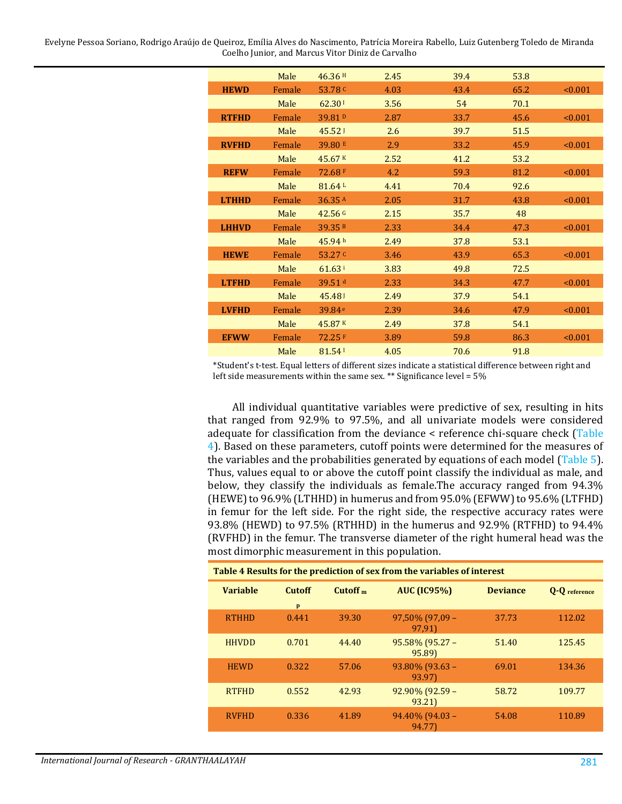Evelyne Pessoa Soriano, Rodrigo Araújo de Queiroz, Emília Alves do Nascimento, Patrícia Moreira Rabello, Luiz Gutenberg Toledo de Miranda Coelho Junior, and Marcus Vitor Diniz de Carvalho

|              | Male   | 46.36H             | 2.45 | 39.4 | 53.8 |         |
|--------------|--------|--------------------|------|------|------|---------|
| <b>HEWD</b>  | Female | 53.78 <sup>c</sup> | 4.03 | 43.4 | 65.2 | < 0.001 |
|              | Male   | 62.301             | 3.56 | 54   | 70.1 |         |
| <b>RTFHD</b> | Female | 39.81 <sup>D</sup> | 2.87 | 33.7 | 45.6 | < 0.001 |
|              | Male   | 45.52 <sub>1</sub> | 2.6  | 39.7 | 51.5 |         |
| <b>RVFHD</b> | Female | 39.80 E            | 2.9  | 33.2 | 45.9 | < 0.001 |
|              | Male   | 45.67 K            | 2.52 | 41.2 | 53.2 |         |
| <b>REFW</b>  | Female | 72.68 F            | 4.2  | 59.3 | 81.2 | < 0.001 |
|              | Male   | 81.64 <sup>L</sup> | 4.41 | 70.4 | 92.6 |         |
| <b>LTHHD</b> | Female | 36.35A             | 2.05 | 31.7 | 43.8 | < 0.001 |
|              | Male   | $42.56$ G          | 2.15 | 35.7 | 48   |         |
| <b>LHHVD</b> | Female | 39.35B             | 2.33 | 34.4 | 47.3 | < 0.001 |
|              | Male   | 45.94 h            | 2.49 | 37.8 | 53.1 |         |
| <b>HEWE</b>  | Female | 53.27 $C$          | 3.46 | 43.9 | 65.3 | < 0.001 |
|              | Male   | 61.63 <sup>i</sup> | 3.83 | 49.8 | 72.5 |         |
| <b>LTFHD</b> | Female | 39.51 $d$          | 2.33 | 34.3 | 47.7 | < 0.001 |
|              | Male   | 45.481             | 2.49 | 37.9 | 54.1 |         |
| <b>LVFHD</b> | Female | 39.84 <sup>e</sup> | 2.39 | 34.6 | 47.9 | < 0.001 |
|              | Male   | 45.87K             | 2.49 | 37.8 | 54.1 |         |
| <b>EFWW</b>  | Female | 72.25 F            | 3.89 | 59.8 | 86.3 | < 0.001 |
|              | Male   | 81.54              | 4.05 | 70.6 | 91.8 |         |

\*Student's t-test. Equal letters of different sizes indicate a statistical difference between right and left side measurements within the same sex. \*\* Significance level = 5%

All individual quantitative variables were predictive of sex, resulting in hits that ranged from 92.9% to 97.5%, and all univariate models were considered adequate for classification from the deviance < reference chi-square check [\(Table](#page-4-0)  [4\)](#page-4-0). Based on these parameters, cutoff points were determined for the measures of the variables and the probabilities generated by equations of each model [\(Table 5\)](#page-5-0). Thus, values equal to or above the cutoff point classify the individual as male, and below, they classify the individuals as female.The accuracy ranged from 94.3% (HEWE) to 96.9% (LTHHD) in humerus and from 95.0% (EFWW) to 95.6% (LTFHD) in femur for the left side. For the right side, the respective accuracy rates were 93.8% (HEWD) to 97.5% (RTHHD) in the humerus and 92.9% (RTFHD) to 94.4% (RVFHD) in the femur. The transverse diameter of the right humeral head was the most dimorphic measurement in this population.

<span id="page-4-0"></span>

| Table 4 Results for the prediction of sex from the variables of interest |               |                     |                           |                 |                      |  |  |
|--------------------------------------------------------------------------|---------------|---------------------|---------------------------|-----------------|----------------------|--|--|
| <b>Variable</b>                                                          | <b>Cutoff</b> | Cutoff <sub>m</sub> | <b>AUC (IC95%)</b>        | <b>Deviance</b> | <b>Q-Q</b> reference |  |  |
|                                                                          | p             |                     |                           |                 |                      |  |  |
| <b>RTHHD</b>                                                             | 0.441         | 39.30               | 97,50% (97,09 -<br>97,91) | 37.73           | 112.02               |  |  |
| <b>HHVDD</b>                                                             | 0.701         | 44.40               | 95.58% (95.27 -<br>95.89) | 51.40           | 125.45               |  |  |
| <b>HEWD</b>                                                              | 0.322         | 57.06               | 93.80% (93.63 -<br>93.97) | 69.01           | 134.36               |  |  |
| <b>RTFHD</b>                                                             | 0.552         | 42.93               | 92.90% (92.59 -<br>93.21) | 58.72           | 109.77               |  |  |
| <b>RVFHD</b>                                                             | 0.336         | 41.89               | 94.40% (94.03 -<br>94.77) | 54.08           | 110.89               |  |  |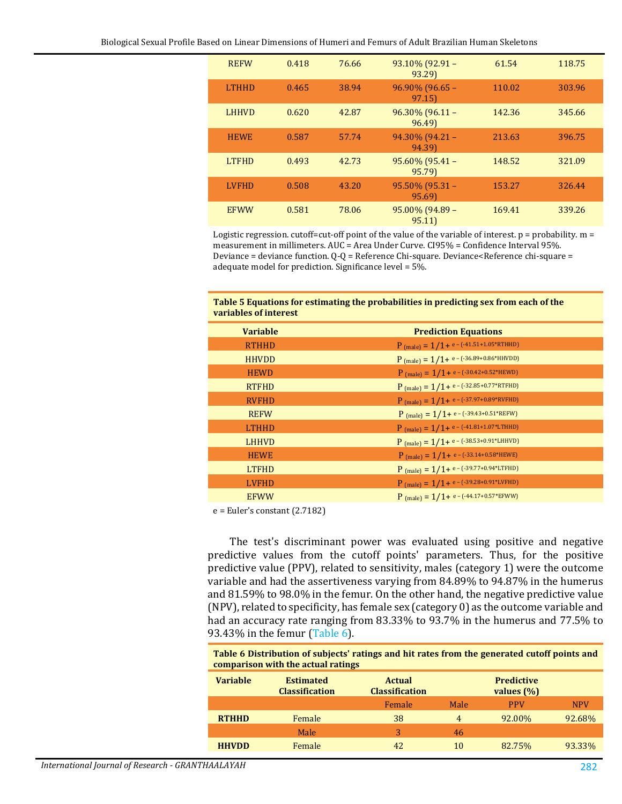| <b>REFW</b>  | 0.418 | 76.66 | $93.10\%$ (92.91 -<br>93.29) | 61.54  | 118.75 |
|--------------|-------|-------|------------------------------|--------|--------|
| <b>LTHHD</b> | 0.465 | 38.94 | 96.90% (96.65 -<br>97.15     | 110.02 | 303.96 |
| <b>LHHVD</b> | 0.620 | 42.87 | $96.30\%$ (96.11 -<br>96.49) | 142.36 | 345.66 |
| <b>HEWE</b>  | 0.587 | 57.74 | $94.30\%$ (94.21 -<br>94.39) | 213.63 | 396.75 |
| <b>LTFHD</b> | 0.493 | 42.73 | 95.60% (95.41 -<br>95.79)    | 148.52 | 321.09 |
| <b>LVFHD</b> | 0.508 | 43.20 | $95.50\%$ (95.31 -<br>95.69) | 153.27 | 326.44 |
| <b>EFWW</b>  | 0.581 | 78.06 | 95.00% (94.89 -<br>95.11     | 169.41 | 339.26 |

Logistic regression. cutoff=cut-off point of the value of the variable of interest.  $p =$  probability.  $m =$ measurement in millimeters. AUC = Area Under Curve. CI95% = Confidence Interval 95%. Deviance = deviance function. Q-Q = Reference Chi-square. Deviance<Reference chi-square = adequate model for prediction. Significance level = 5%.

#### <span id="page-5-0"></span>**Table 5 Equations for estimating the probabilities in predicting sex from each of the variables of interest**

| <b>Variable</b> | <b>Prediction Equations</b>                           |
|-----------------|-------------------------------------------------------|
| <b>RTHHD</b>    | $P$ (male) = $1/1+e$ - (-41.51+1.05*RTHHD)            |
| <b>HHVDD</b>    | $P_{(male)} = 1/1 + e - (-36.89 + 0.86*HHVDD)$        |
| <b>HEWD</b>     | P (male) = $1/1+e-(-30.42+0.52*HEWD)$                 |
| <b>RTFHD</b>    | $P_{(male)} = 1/1 + e - (-32.85 + 0.77*RTFHD)$        |
| <b>RVFHD</b>    | $P_{\text{(male)}} = 1/1 + e - (-37.97 + 0.89*RVFHD)$ |
| <b>REFW</b>     | $P$ (male) = $1/1+e$ - (-39.43+0.51*REFW)             |
| <b>LTHHD</b>    | $P$ (male) = $1/1+e$ - (-41.81+1.07*LTHHD)            |
| <b>LHHVD</b>    | $P$ (male) = $1/1+e$ - (-38.53+0.91*LHHVD)            |
| <b>HEWE</b>     | $P$ (male) = $1/1+e$ - (-33.14+0.58*HEWE)             |
| <b>LTFHD</b>    | P (male) = $1/1+e-(-39.77+0.94*LTFHD)$                |
| <b>LVFHD</b>    | $P$ (male) = $1/1+e$ - (-39.28+0.91*LVFHD)            |
| <b>EFWW</b>     | P (male) = $1/1+e-(-44.17+0.57*EFWW)$                 |

e = Euler's constant (2.7182)

The test's discriminant power was evaluated using positive and negative predictive values from the cutoff points' parameters. Thus, for the positive predictive value (PPV), related to sensitivity, males (category 1) were the outcome variable and had the assertiveness varying from 84.89% to 94.87% in the humerus and 81.59% to 98.0% in the femur. On the other hand, the negative predictive value (NPV), related to specificity, has female sex (category 0) as the outcome variable and had an accuracy rate ranging from 83.33% to 93.7% in the humerus and 77.5% to 93.43% in the femur [\(Table 6\)](#page-5-1).

<span id="page-5-1"></span>**Table 6 Distribution of subjects' ratings and hit rates from the generated cutoff points and comparison with the actual ratings**

| <b>Estimated</b><br><b>Classification</b> | <b>Actual</b><br><b>Classification</b> |      | <b>Predictive</b><br>values $(\%)$ |            |
|-------------------------------------------|----------------------------------------|------|------------------------------------|------------|
|                                           | Female                                 | Male | <b>PPV</b>                         | <b>NPV</b> |
| Female                                    | 38                                     | 4    | 92.00%                             | 92.68%     |
| Male                                      | 3                                      | 46   |                                    |            |
| Female                                    | 42                                     | 10   | 82.75%                             | 93.33%     |
|                                           |                                        |      |                                    |            |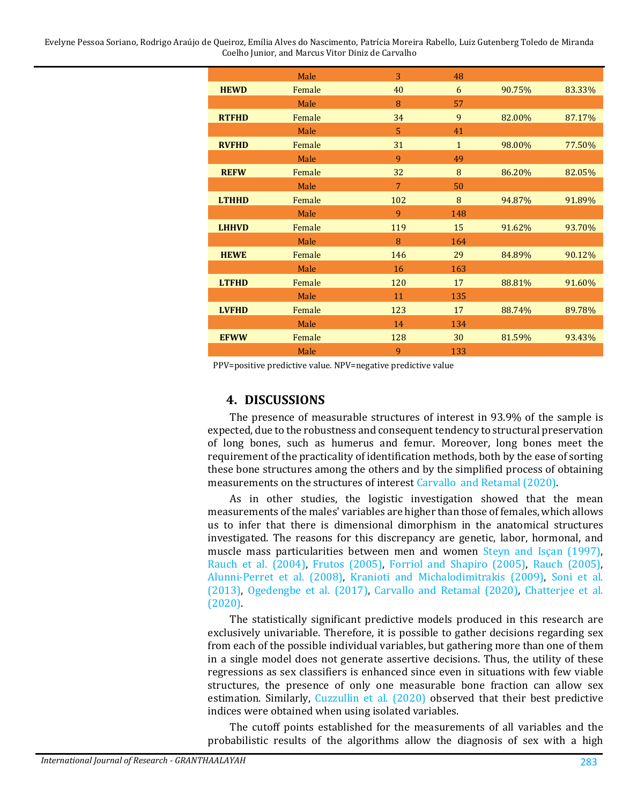Evelyne Pessoa Soriano, Rodrigo Araújo de Queiroz, Emília Alves do Nascimento, Patrícia Moreira Rabello, Luiz Gutenberg Toledo de Miranda Coelho Junior, and Marcus Vitor Diniz de Carvalho

|              | Male   | 3              | 48           |        |        |
|--------------|--------|----------------|--------------|--------|--------|
| <b>HEWD</b>  | Female | 40             | 6            | 90.75% | 83.33% |
|              | Male   | 8              | 57           |        |        |
| <b>RTFHD</b> | Female | 34             | 9            | 82.00% | 87.17% |
|              | Male   | 5              | 41           |        |        |
| <b>RVFHD</b> | Female | 31             | $\mathbf{1}$ | 98.00% | 77.50% |
|              | Male   | 9              | 49           |        |        |
| <b>REFW</b>  | Female | 32             | 8            | 86.20% | 82.05% |
|              | Male   | $\overline{7}$ | 50           |        |        |
| <b>LTHHD</b> | Female | 102            | 8            | 94.87% | 91.89% |
|              | Male   | 9              | 148          |        |        |
| <b>LHHVD</b> | Female | 119            | 15           | 91.62% | 93.70% |
|              | Male   | 8              | 164          |        |        |
| <b>HEWE</b>  | Female | 146            | 29           | 84.89% | 90.12% |
|              | Male   | 16             | 163          |        |        |
| <b>LTFHD</b> | Female | 120            | 17           | 88.81% | 91.60% |
|              | Male   | 11             | 135          |        |        |
| <b>LVFHD</b> | Female | 123            | 17           | 88.74% | 89.78% |
|              | Male   | 14             | 134          |        |        |
| <b>EFWW</b>  | Female | 128            | 30           | 81.59% | 93.43% |
|              | Male   | 9              | 133          |        |        |

PPV=positive predictive value. NPV=negative predictive value

# **4. DISCUSSIONS**

The presence of measurable structures of interest in 93.9% of the sample is expected, due to the robustness and consequent tendency to structural preservation of long bones, such as humerus and femur. Moreover, long bones meet the requirement of the practicality of identification methods, both by the ease of sorting these bone structures among the others and by the simplified process of obtaining measurements on the structures of interest [Carvallo and Retamal \(2020\).](#page-10-4)

As in other studies, the logistic investigation showed that the mean measurements of the males' variables are higher than those of females, which allows us to infer that there is dimensional dimorphism in the anatomical structures investigated. The reasons for this discrepancy are genetic, labor, hormonal, and muscle mass particularities between men and women [Steyn and Isçan \(1997\),](#page-13-5) [Rauch et al. \(2004\),](#page-12-7) [Frutos \(2005\),](#page-11-3) [Forriol and Shapiro \(2005\),](#page-11-4) [Rauch \(2005\),](#page-12-8) [Alunni-Perret et al. \(2008\),](#page-10-7) [Kranioti and Michalodimitrakis \(2009\),](#page-11-5) [Soni et al.](#page-13-1)  [\(2013\),](#page-13-1) [Ogedengbe et al. \(2017\),](#page-12-1) [Carvallo and Retamal \(2020\),](#page-10-4) [Chatterjee et al.](#page-10-8)  [\(2020\).](#page-10-8)

The statistically significant predictive models produced in this research are exclusively univariable. Therefore, it is possible to gather decisions regarding sex from each of the possible individual variables, but gathering more than one of them in a single model does not generate assertive decisions. Thus, the utility of these regressions as sex classifiers is enhanced since even in situations with few viable structures, the presence of only one measurable bone fraction can allow sex estimation. Similarly, [Cuzzullin et al. \(2020\)](#page-11-6) observed that their best predictive indices were obtained when using isolated variables.

The cutoff points established for the measurements of all variables and the probabilistic results of the algorithms allow the diagnosis of sex with a high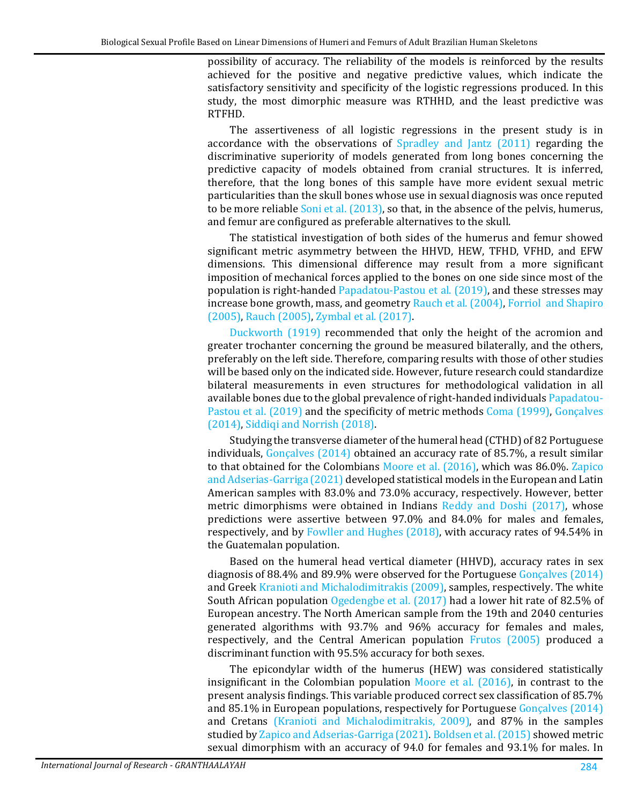possibility of accuracy. The reliability of the models is reinforced by the results achieved for the positive and negative predictive values, which indicate the satisfactory sensitivity and specificity of the logistic regressions produced. In this study, the most dimorphic measure was RTHHD, and the least predictive was RTFHD.

The assertiveness of all logistic regressions in the present study is in accordance with the observations of [Spradley and Jantz \(2011\)](#page-13-4) regarding the discriminative superiority of models generated from long bones concerning the predictive capacity of models obtained from cranial structures. It is inferred, therefore, that the long bones of this sample have more evident sexual metric particularities than the skull bones whose use in sexual diagnosis was once reputed to be more reliable [Soni et al. \(2013\),](#page-13-1) so that, in the absence of the pelvis, humerus, and femur are configured as preferable alternatives to the skull.

The statistical investigation of both sides of the humerus and femur showed significant metric asymmetry between the HHVD, HEW, TFHD, VFHD, and EFW dimensions. This dimensional difference may result from a more significant imposition of mechanical forces applied to the bones on one side since most of the population is right-handed [Papadatou-Pastou et al. \(2019\),](#page-12-9) and these stresses may increase bone growth, mass, and geometry [Rauch et al. \(2004\),](#page-12-7) [Forriol and Shapiro](#page-11-4)  [\(2005\),](#page-11-4) [Rauch \(2005\),](#page-12-8) [Zymbal et al. \(2017\).](#page-13-6)

[Duckworth \(1919\)](#page-11-7) recommended that only the height of the acromion and greater trochanter concerning the ground be measured bilaterally, and the others, preferably on the left side. Therefore, comparing results with those of other studies will be based only on the indicated side. However, future research could standardize bilateral measurements in even structures for methodological validation in all available bones due to the global prevalence of right-handed individual[s Papadatou-](#page-12-9)[Pastou et al. \(2019\)](#page-12-9) and the specificity of metric methods [Coma \(1999\),](#page-11-8) [Gonçalves](#page-11-2)  [\(2014\),](#page-11-2) [Siddiqi and Norrish \(2018\).](#page-12-5)

Studying the transverse diameter of the humeral head (CTHD) of 82 Portuguese individuals, [Gonçalves \(2014\)](#page-11-2) obtained an accuracy rate of 85.7%, a result similar to that obtained for the Colombians [Moore et al. \(2016\),](#page-12-10) which was 86.0%. [Zapico](#page-13-2)  [and Adserias-Garriga \(2021\)](#page-13-2) developed statistical models in the European and Latin American samples with 83.0% and 73.0% accuracy, respectively. However, better metric dimorphisms were obtained in Indians [Reddy and Doshi \(2017\),](#page-12-11) whose predictions were assertive between 97.0% and 84.0% for males and females, respectively, and by [Fowller and Hughes \(2018\),](#page-11-9) with accuracy rates of 94.54% in the Guatemalan population.

Based on the humeral head vertical diameter (HHVD), accuracy rates in sex diagnosis of 88.4% and 89.9% were observed for the Portuguese [Gonçalves \(2014\)](#page-11-2) and Greek [Kranioti and Michalodimitrakis \(2009\),](#page-11-5) samples, respectively. The white South African population [Ogedengbe et al. \(2017\)](#page-12-1) had a lower hit rate of 82.5% of European ancestry. The North American sample from the 19th and 2040 centuries generated algorithms with 93.7% and 96% accuracy for females and males, respectively, and the Central American population [Frutos \(2005\)](#page-11-3) produced a discriminant function with 95.5% accuracy for both sexes.

The epicondylar width of the humerus (HEW) was considered statistically insignificant in the Colombian population [Moore et al. \(2016\),](#page-12-10) in contrast to the present analysis findings. This variable produced correct sex classification of 85.7% and 85.1% in European populations, respectively for Portuguese [Gonçalves \(2014\)](#page-11-2) and Cretans (Kranioti and Michalodimitrakis, 2009), and 87% in the samples studied b[y Zapico and Adserias-Garriga \(2021\).](#page-13-2) [Boldsen et al. \(2015\)](#page-10-9) showed metric sexual dimorphism with an accuracy of 94.0 for females and 93.1% for males. In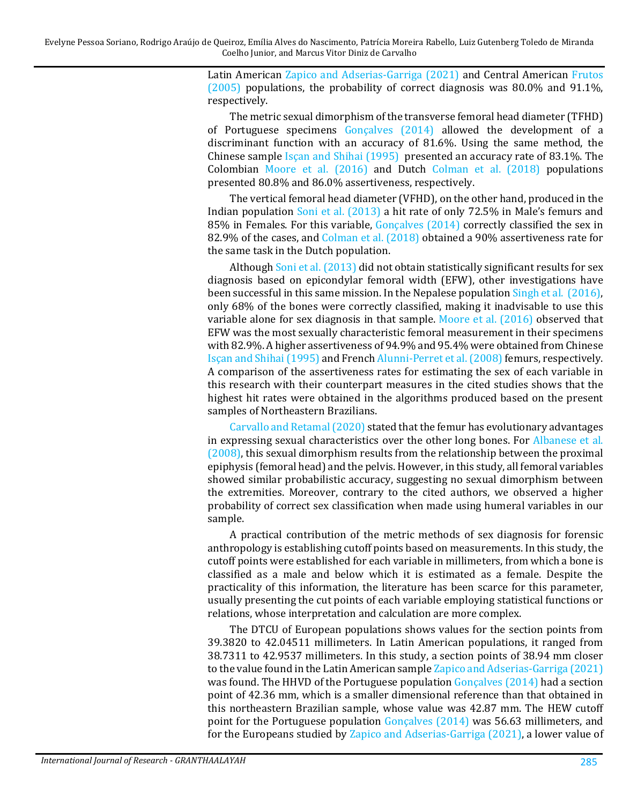Latin American [Zapico and Adserias-Garriga \(2021\)](#page-13-2) and Central American [Frutos](#page-11-3)  [\(2005\)](#page-11-3) populations, the probability of correct diagnosis was 80.0% and 91.1%, respectively.

The metric sexual dimorphism of the transverse femoral head diameter (TFHD) of Portuguese specimens [Gonçalves \(2014\)](#page-11-2) allowed the development of a discriminant function with an accuracy of 81.6%. Using the same method, the Chinese sample [Isçan and Shihai \(1995\)](#page-11-10) presented an accuracy rate of 83.1%. The Colombian [Moore et al. \(2016\)](#page-12-10) and Dutch [Colman et al. \(2018\)](#page-11-11) populations presented 80.8% and 86.0% assertiveness, respectively.

The vertical femoral head diameter (VFHD), on the other hand, produced in the Indian population [Soni et al. \(2013\)](#page-13-1) a hit rate of only 72.5% in Male's femurs and 85% in Females. For this variable, [Gonçalves \(2014\)](#page-11-2) correctly classified the sex in 82.9% of the cases, and [Colman et al. \(2018\)](#page-11-11) obtained a 90% assertiveness rate for the same task in the Dutch population.

Althoug[h Soni et al. \(2013\)](#page-13-1) did not obtain statistically significant results for sex diagnosis based on epicondylar femoral width (EFW), other investigations have been successful in this same mission. In the Nepalese population [Singh et al. \(2016\),](#page-13-7) only 68% of the bones were correctly classified, making it inadvisable to use this variable alone for sex diagnosis in that sample. [Moore et al. \(2016\)](#page-12-10) observed that EFW was the most sexually characteristic femoral measurement in their specimens with 82.9%. A higher assertiveness of 94.9% and 95.4% were obtained from Chinese [Isçan and Shihai \(1995\)](#page-11-10) and Frenc[h Alunni-Perret et al. \(2008\)](#page-10-7) femurs, respectively. A comparison of the assertiveness rates for estimating the sex of each variable in this research with their counterpart measures in the cited studies shows that the highest hit rates were obtained in the algorithms produced based on the present samples of Northeastern Brazilians.

[Carvallo and Retamal \(2020\)](#page-10-4) stated that the femur has evolutionary advantages in expressing sexual characteristics over the other long bones. For [Albanese et al.](#page-10-10)  [\(2008\),](#page-10-10) this sexual dimorphism results from the relationship between the proximal epiphysis (femoral head) and the pelvis. However, in this study, all femoral variables showed similar probabilistic accuracy, suggesting no sexual dimorphism between the extremities. Moreover, contrary to the cited authors, we observed a higher probability of correct sex classification when made using humeral variables in our sample.

A practical contribution of the metric methods of sex diagnosis for forensic anthropology is establishing cutoff points based on measurements. In this study, the cutoff points were established for each variable in millimeters, from which a bone is classified as a male and below which it is estimated as a female. Despite the practicality of this information, the literature has been scarce for this parameter, usually presenting the cut points of each variable employing statistical functions or relations, whose interpretation and calculation are more complex.

The DTCU of European populations shows values for the section points from 39.3820 to 42.04511 millimeters. In Latin American populations, it ranged from 38.7311 to 42.9537 millimeters. In this study, a section points of 38.94 mm closer to the value found in the Latin American sampl[e Zapico and Adserias-Garriga \(2021\)](#page-13-2) was found. The HHVD of the Portuguese population [Gonçalves \(2014\)](#page-11-2) had a section point of 42.36 mm, which is a smaller dimensional reference than that obtained in this northeastern Brazilian sample, whose value was 42.87 mm. The HEW cutoff point for the Portuguese population [Gonçalves \(2014\)](#page-11-2) was 56.63 millimeters, and for the Europeans studied by [Zapico and Adserias-Garriga \(2021\),](#page-13-2) a lower value of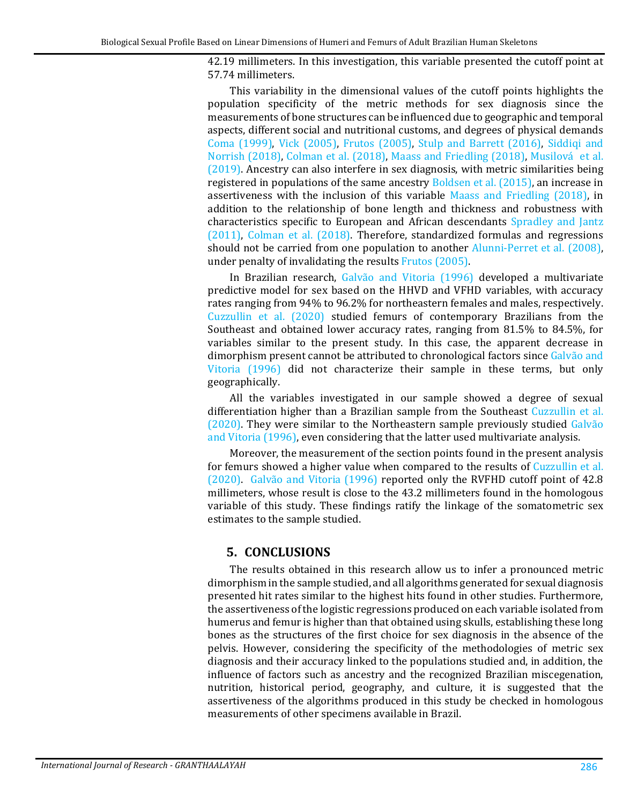42.19 millimeters. In this investigation, this variable presented the cutoff point at 57.74 millimeters.

This variability in the dimensional values of the cutoff points highlights the population specificity of the metric methods for sex diagnosis since the measurements of bone structures can be influenced due to geographic and temporal aspects, different social and nutritional customs, and degrees of physical demands [Coma \(1999\),](#page-11-8) [Vick \(2005\),](#page-13-8) [Frutos \(2005\),](#page-11-3) [Stulp and Barrett \(2016\),](#page-13-9) [Siddiqi and](#page-12-5)  [Norrish \(2018\),](#page-12-5) [Colman et al. \(2018\),](#page-11-11) [Maass and Friedling \(2018\),](#page-11-12) [Musilová et al.](#page-12-12)  [\(2019\).](#page-12-12) Ancestry can also interfere in sex diagnosis, with metric similarities being registered in populations of the same ancestr[y Boldsen et al. \(2015\),](#page-10-9) an increase in assertiveness with the inclusion of this variable [Maass and Friedling \(2018\),](#page-11-12) in addition to the relationship of bone length and thickness and robustness with characteristics specific to European and African descendants [Spradley and Jantz](#page-13-4)  [\(2011\),](#page-13-4) [Colman et al. \(2018\).](#page-11-11) Therefore, standardized formulas and regressions should not be carried from one population to another [Alunni-Perret et al. \(2008\),](#page-10-7) under penalty of invalidating the results [Frutos \(2005\).](#page-11-3)

In Brazilian research, [Galvão and Vitoria \(1996\)](#page-11-13) developed a multivariate predictive model for sex based on the HHVD and VFHD variables, with accuracy rates ranging from 94% to 96.2% for northeastern females and males, respectively. [Cuzzullin et al. \(2020\)](#page-11-6) studied femurs of contemporary Brazilians from the Southeast and obtained lower accuracy rates, ranging from 81.5% to 84.5%, for variables similar to the present study. In this case, the apparent decrease in dimorphism present cannot be attributed to chronological factors since Galvão and [Vitoria \(1996\)](#page-11-13) did not characterize their sample in these terms, but only geographically.

All the variables investigated in our sample showed a degree of sexual differentiation higher than a Brazilian sample from the Southeast [Cuzzullin et al.](#page-11-6)  [\(2020\).](#page-11-6) They were similar to the Northeastern sample previously studied [Galvão](#page-11-13)  [and Vitoria \(1996\),](#page-11-13) even considering that the latter used multivariate analysis.

Moreover, the measurement of the section points found in the present analysis for femurs showed a higher value when compared to the results of [Cuzzullin et al.](#page-11-6)  [\(2020\).](#page-11-6) [Galvão and Vitoria \(1996\)](#page-11-13) reported only the RVFHD cutoff point of 42.8 millimeters, whose result is close to the 43.2 millimeters found in the homologous variable of this study. These findings ratify the linkage of the somatometric sex estimates to the sample studied.

### **5. CONCLUSIONS**

The results obtained in this research allow us to infer a pronounced metric dimorphism in the sample studied, and all algorithms generated for sexual diagnosis presented hit rates similar to the highest hits found in other studies. Furthermore, the assertiveness of the logistic regressions produced on each variable isolated from humerus and femur is higher than that obtained using skulls, establishing these long bones as the structures of the first choice for sex diagnosis in the absence of the pelvis. However, considering the specificity of the methodologies of metric sex diagnosis and their accuracy linked to the populations studied and, in addition, the influence of factors such as ancestry and the recognized Brazilian miscegenation, nutrition, historical period, geography, and culture, it is suggested that the assertiveness of the algorithms produced in this study be checked in homologous measurements of other specimens available in Brazil.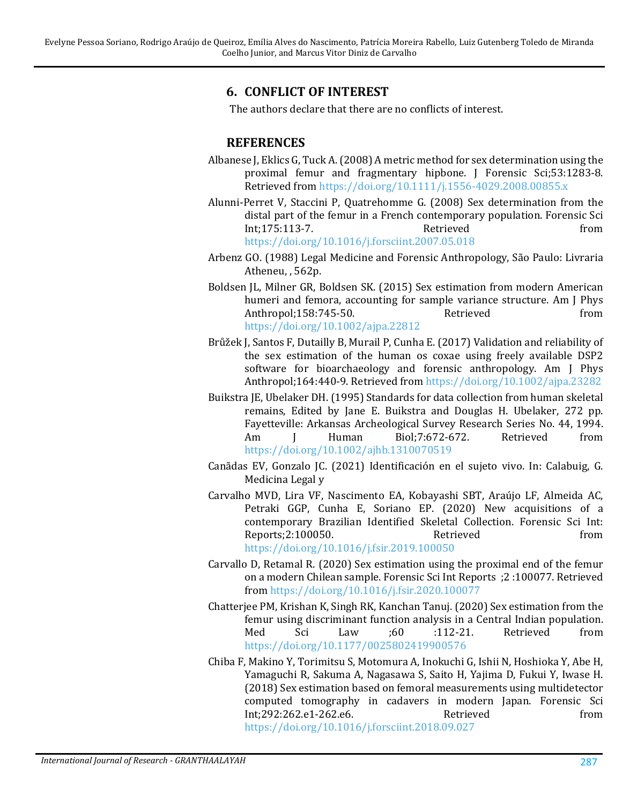# **6. CONFLICT OF INTEREST**

The authors declare that there are no conflicts of interest.

### **REFERENCES**

- <span id="page-10-10"></span>Albanese J, Eklics G, Tuck A.(2008) A metric method for sex determination using the proximal femur and fragmentary hipbone. J Forensic Sci;53:1283-8. Retrieved from <https://doi.org/10.1111/j.1556-4029.2008.00855.x>
- <span id="page-10-7"></span>Alunni-Perret V, Staccini P, Quatrehomme G. (2008) Sex determination from the distal part of the femur in a French contemporary population. Forensic Sci Int;175:113-7. <https://doi.org/10.1016/j.forsciint.2007.05.018>
- <span id="page-10-1"></span>Arbenz GO. (1988) Legal Medicine and Forensic Anthropology, São Paulo: Livraria Atheneu, , 562p.
- <span id="page-10-9"></span>Boldsen JL, Milner GR, Boldsen SK. (2015) Sex estimation from modern American humeri and femora, accounting for sample variance structure. Am J Phys<br>Anthropol:158:745-50. Retrieved from Anthropol;158:745-50. <https://doi.org/10.1002/ajpa.22812>
- <span id="page-10-2"></span>Brůžek J, Santos F, Dutailly B, Murail P, Cunha E. (2017) Validation and reliability of the sex estimation of the human os coxae using freely available DSP2 software for bioarchaeology and forensic anthropology. Am J Phys Anthropol;164:440-9. Retrieved from <https://doi.org/10.1002/ajpa.23282>
- <span id="page-10-6"></span>Buikstra JE, Ubelaker DH. (1995) Standards for data collection from human skeletal remains, Edited by Jane E. Buikstra and Douglas H. Ubelaker, 272 pp. Fayetteville: Arkansas Archeological Survey Research Series No. 44, 1994. Am J Human Biol;7:672-672. Retrieved from <https://doi.org/10.1002/ajhb.1310070519>
- <span id="page-10-0"></span>Canãdas EV, Gonzalo JC. (2021) Identificación en el sujeto vivo. In: Calabuig, G. Medicina Legal y
- <span id="page-10-5"></span>Carvalho MVD, Lira VF, Nascimento EA, Kobayashi SBT, Araújo LF, Almeida AC, Petraki GGP, Cunha E, Soriano EP. (2020) New acquisitions of a contemporary Brazilian Identified Skeletal Collection. Forensic Sci Int: Reports; 2:100050. <https://doi.org/10.1016/j.fsir.2019.100050>
- <span id="page-10-4"></span>Carvallo D, Retamal R. (2020) Sex estimation using the proximal end of the femur on a modern Chilean sample. Forensic Sci Int Reports ;2 :100077. Retrieved from <https://doi.org/10.1016/j.fsir.2020.100077>
- <span id="page-10-8"></span>Chatterjee PM, Krishan K, Singh RK, Kanchan Tanuj. (2020) Sex estimation from the femur using discriminant function analysis in a Central Indian population.<br>
Med Sci Law :60 :112-21. Retrieved from Med Sci Law ;60 :112-21. Retrieved from <https://doi.org/10.1177/0025802419900576>
- <span id="page-10-3"></span>Chiba F, Makino Y, Torimitsu S, Motomura A, Inokuchi G, Ishii N, Hoshioka Y, Abe H, Yamaguchi R, Sakuma A, Nagasawa S, Saito H, Yajima D, Fukui Y, Iwase H. (2018) Sex estimation based on femoral measurements using multidetector computed tomography in cadavers in modern Japan. Forensic Sci Int;292:262.e1-262.e6. <https://doi.org/10.1016/j.forsciint.2018.09.027>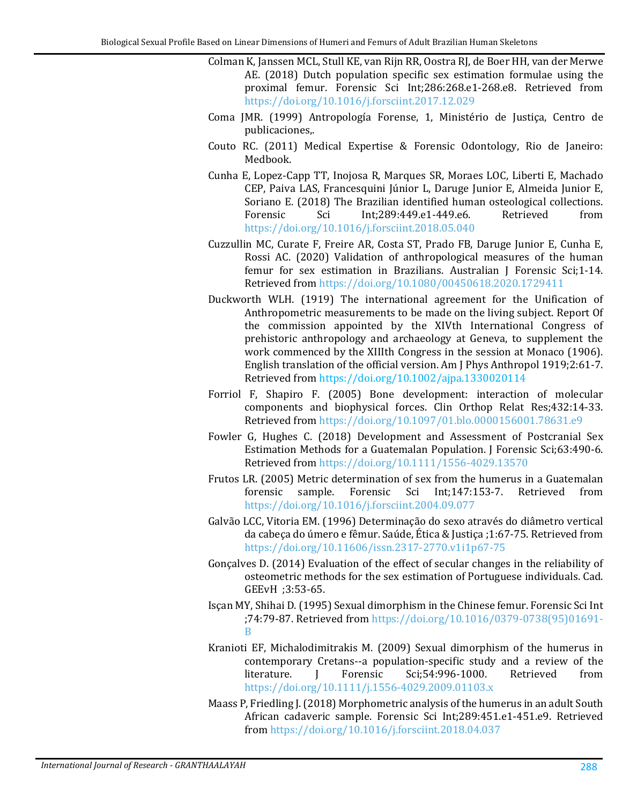- <span id="page-11-11"></span>Colman K, Janssen MCL, Stull KE, van Rijn RR, Oostra RJ, de Boer HH, van der Merwe AE. (2018) Dutch population specific sex estimation formulae using the proximal femur. Forensic Sci Int;286:268.e1-268.e8. Retrieved from <https://doi.org/10.1016/j.forsciint.2017.12.029>
- <span id="page-11-8"></span>Coma JMR. (1999) Antropología Forense, 1, Ministério de Justiça, Centro de publicaciones,.
- <span id="page-11-0"></span>Couto RC. (2011) Medical Expertise & Forensic Odontology, Rio de Janeiro: Medbook.
- <span id="page-11-1"></span>Cunha E, Lopez-Capp TT, Inojosa R, Marques SR, Moraes LOC, Liberti E, Machado CEP, Paiva LAS, Francesquini Júnior L, Daruge Junior E, Almeida Junior E, Soriano E. (2018) The Brazilian identified human osteological collections.<br>Forensic 5ci 1nt:289:449.e1-449.e6. Retrieved from Int:289:449.e1-449.e6. <https://doi.org/10.1016/j.forsciint.2018.05.040>
- <span id="page-11-6"></span>Cuzzullin MC, Curate F, Freire AR, Costa ST, Prado FB, Daruge Junior E, Cunha E, Rossi AC. (2020) Validation of anthropological measures of the human femur for sex estimation in Brazilians. Australian J Forensic Sci;1-14. Retrieved from <https://doi.org/10.1080/00450618.2020.1729411>
- <span id="page-11-7"></span>Duckworth WLH. (1919) The international agreement for the Unification of Anthropometric measurements to be made on the living subject. Report Of the commission appointed by the XIVth International Congress of prehistoric anthropology and archaeology at Geneva, to supplement the work commenced by the XIIIth Congress in the session at Monaco (1906). English translation of the official version. Am J Phys Anthropol 1919;2:61-7. Retrieved from <https://doi.org/10.1002/ajpa.1330020114>
- <span id="page-11-4"></span>Forriol F, Shapiro F. (2005) Bone development: interaction of molecular components and biophysical forces. Clin Orthop Relat Res;432:14-33. Retrieved from <https://doi.org/10.1097/01.blo.0000156001.78631.e9>
- <span id="page-11-9"></span>Fowler G, Hughes C. (2018) Development and Assessment of Postcranial Sex Estimation Methods for a Guatemalan Population. J Forensic Sci;63:490-6. Retrieved from <https://doi.org/10.1111/1556-4029.13570>
- <span id="page-11-3"></span>Frutos LR. (2005) Metric determination of sex from the humerus in a Guatemalan forensic sample. Forensic Sci Int;147:153-7. Retrieved from forensic sample. Forensic <https://doi.org/10.1016/j.forsciint.2004.09.077>
- <span id="page-11-13"></span>Galvão LCC, Vitoria EM. (1996) Determinação do sexo através do diâmetro vertical da cabeça do úmero e fêmur. Saúde, Ética & Justiça ;1:67-75. Retrieved from <https://doi.org/10.11606/issn.2317-2770.v1i1p67-75>
- <span id="page-11-2"></span>Gonçalves D. (2014) Evaluation of the effect of secular changes in the reliability of osteometric methods for the sex estimation of Portuguese individuals. Cad. GEEvH ;3:53-65.
- <span id="page-11-10"></span>Isçan MY, Shihai D. (1995) Sexual dimorphism in the Chinese femur. Forensic Sci Int ;74:79-87. Retrieved from [https://doi.org/10.1016/0379-0738\(95\)01691-](https://doi.org/10.1016/0379-0738(95)01691-B) [B](https://doi.org/10.1016/0379-0738(95)01691-B)
- <span id="page-11-5"></span>Kranioti EF, Michalodimitrakis M. (2009) Sexual dimorphism of the humerus in contemporary Cretans--a population-specific study and a review of the<br>literature. I Forensic Sci;54:996-1000. Retrieved from Sci;54:996-1000. <https://doi.org/10.1111/j.1556-4029.2009.01103.x>
- <span id="page-11-12"></span>Maass P, Friedling J.(2018) Morphometric analysis of the humerus in an adult South African cadaveric sample. Forensic Sci Int;289:451.e1-451.e9. Retrieved from <https://doi.org/10.1016/j.forsciint.2018.04.037>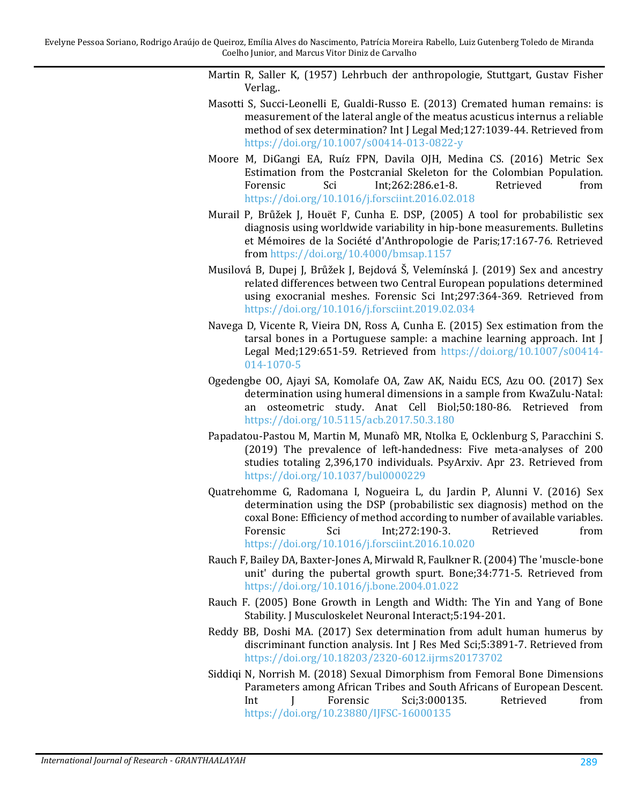<span id="page-12-6"></span>Martin R, Saller K, (1957) Lehrbuch der anthropologie, Stuttgart, Gustav Fisher Verlag,.

- <span id="page-12-4"></span>Masotti S, Succi-Leonelli E, Gualdi-Russo E. (2013) Cremated human remains: is measurement of the lateral angle of the meatus acusticus internus a reliable method of sex determination? Int J Legal Med;127:1039-44. Retrieved from <https://doi.org/10.1007/s00414-013-0822-y>
- <span id="page-12-10"></span>Moore M, DiGangi EA, Ruíz FPN, Davila OJH, Medina CS. (2016) Metric Sex Estimation from the Postcranial Skeleton for the Colombian Population.<br>Forensic Sci 1nt:262:286.e1-8. Retrieved from Int;262:286.e1-8. <https://doi.org/10.1016/j.forsciint.2016.02.018>
- <span id="page-12-2"></span>Murail P, Brůžek J, Houët F, Cunha E. DSP, (2005) A tool for probabilistic sex diagnosis using worldwide variability in hip-bone measurements. Bulletins et Mémoires de la Société d'Anthropologie de Paris;17:167-76. Retrieved from <https://doi.org/10.4000/bmsap.1157>
- <span id="page-12-12"></span>Musilová B, Dupej J, Brůžek J, Bejdová Š, Velemínská J. (2019) Sex and ancestry related differences between two Central European populations determined using exocranial meshes. Forensic Sci Int;297:364-369. Retrieved from <https://doi.org/10.1016/j.forsciint.2019.02.034>
- <span id="page-12-0"></span>Navega D, Vicente R, Vieira DN, Ross A, Cunha E. (2015) Sex estimation from the tarsal bones in a Portuguese sample: a machine learning approach. Int J Legal Med;129:651-59. Retrieved from [https://doi.org/10.1007/s00414-](https://doi.org/10.1007/s00414-014-1070-5) [014-1070-5](https://doi.org/10.1007/s00414-014-1070-5)
- <span id="page-12-1"></span>Ogedengbe OO, Ajayi SA, Komolafe OA, Zaw AK, Naidu ECS, Azu OO. (2017) Sex determination using humeral dimensions in a sample from KwaZulu-Natal: an osteometric study. Anat Cell Biol;50:180-86. Retrieved from <https://doi.org/10.5115/acb.2017.50.3.180>
- <span id="page-12-9"></span>Papadatou-Pastou M, Martin M, Munafò MR, Ntolka E, Ocklenburg S, Paracchini S. (2019) The prevalence of left-handedness: Five meta-analyses of 200 studies totaling 2,396,170 individuals. PsyArxiv. Apr 23. Retrieved from <https://doi.org/10.1037/bul0000229>
- <span id="page-12-3"></span>Quatrehomme G, Radomana I, Nogueira L, du Jardin P, Alunni V. (2016) Sex determination using the DSP (probabilistic sex diagnosis) method on the coxal Bone: Efficiency of method according to number of available variables. Int;272:190-3. <https://doi.org/10.1016/j.forsciint.2016.10.020>
- <span id="page-12-7"></span>Rauch F, Bailey DA, Baxter-Jones A, Mirwald R, Faulkner R.(2004) The 'muscle-bone unit' during the pubertal growth spurt. Bone;34:771-5. Retrieved from <https://doi.org/10.1016/j.bone.2004.01.022>
- <span id="page-12-8"></span>Rauch F. (2005) Bone Growth in Length and Width: The Yin and Yang of Bone Stability. J Musculoskelet Neuronal Interact;5:194-201.
- <span id="page-12-11"></span>Reddy BB, Doshi MA. (2017) Sex determination from adult human humerus by discriminant function analysis. Int J Res Med Sci;5:3891-7. Retrieved from <https://doi.org/10.18203/2320-6012.ijrms20173702>
- <span id="page-12-5"></span>Siddiqi N, Norrish M. (2018) Sexual Dimorphism from Femoral Bone Dimensions Parameters among African Tribes and South Africans of European Descent.<br>
Int I Forensic Sci;3:000135. Retrieved from  $J$  Forensic Sci;3:000135. <https://doi.org/10.23880/IJFSC-16000135>